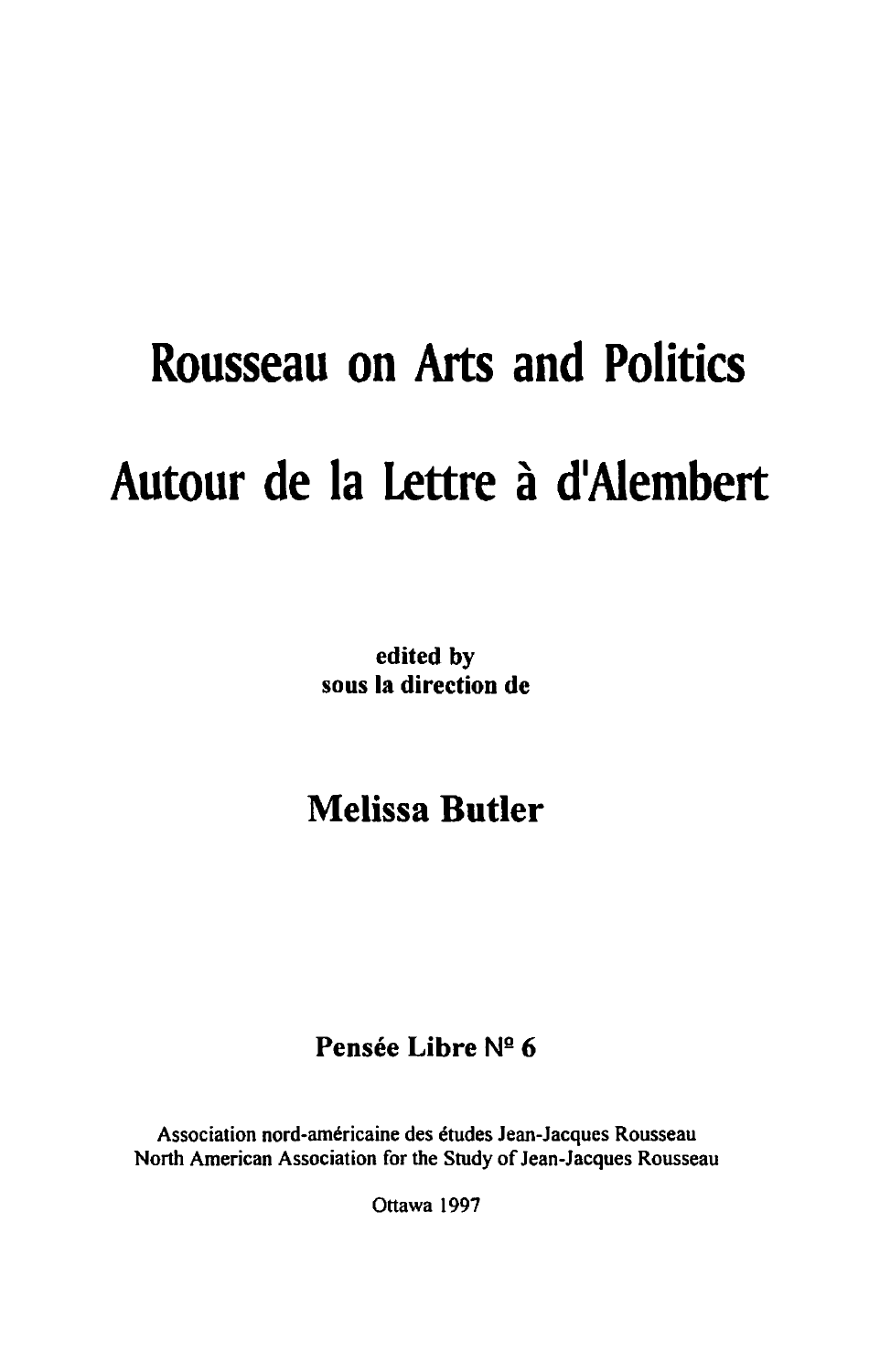# **Rousseau on Arts and Politics Autour de la Lettre a dlAiembert**

edited by sous la direction de

# Melissa **Butler**

### Pensée Libre Nº 6

Association nord-américaine des études Jean-Jacques Rousseau North American Association for the Study of Jean-Jacques Rousseau

Ottawa 1997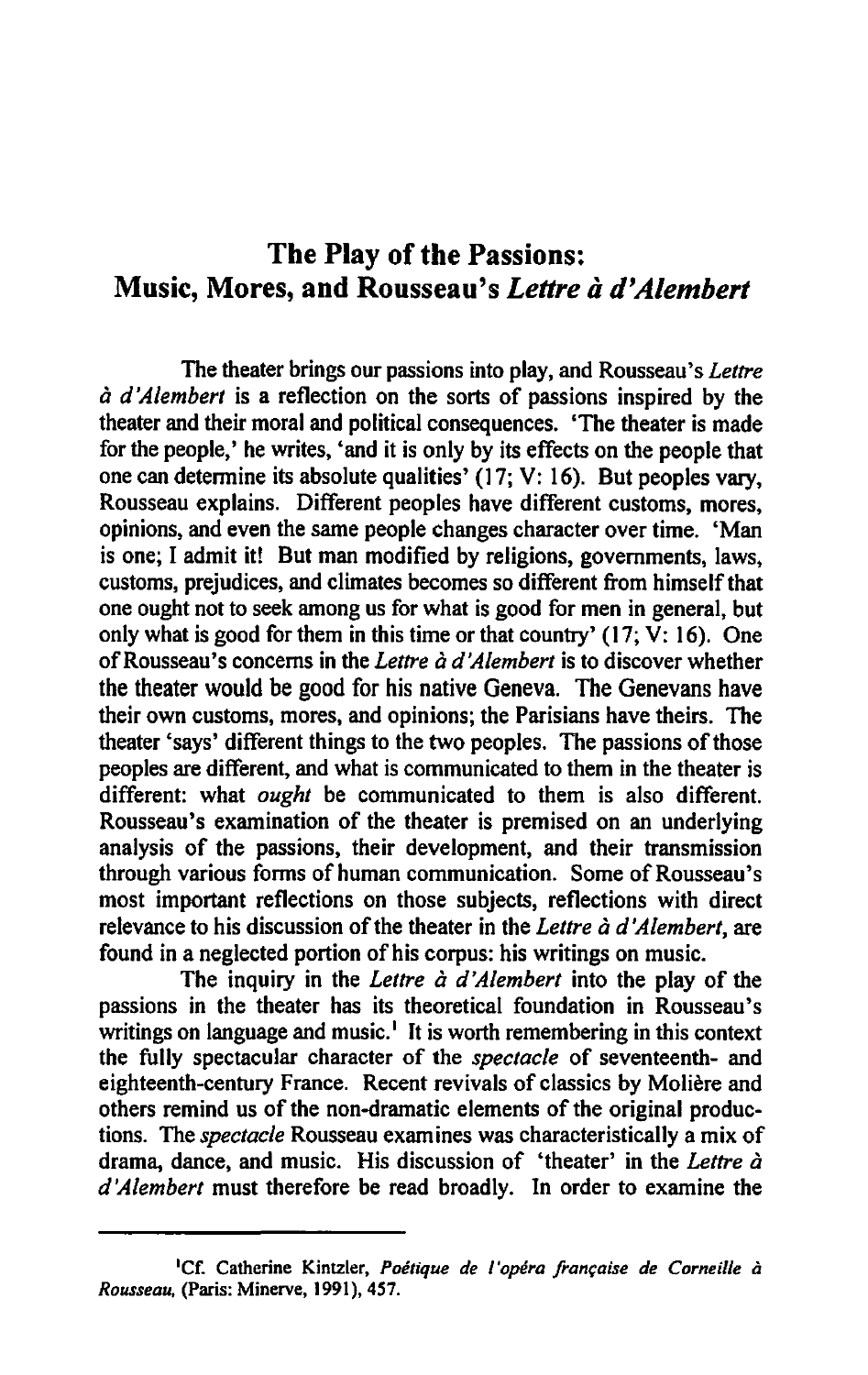## The Play of the Passions: Music, Mores, and Rousseau's *Lettre* a *d'Alembert*

The theater brings our passions into play, and Rousseau's *Lettre a d 'Alembert* is a reflection on the sorts of passions inspired by the theater and their moral and political consequences. 'The theater is made for the people,' he writes, 'and it is only by its effects on the people that one can detennine its absolute qualities' (17; V: 16). But peoples vary, Rousseau explains. Different peoples have different customs, mores, opinions, and even the same people changes character over time. 'Man is one; I admit it! But man modified by religions, governments, laws, customs, prejudices, and climates becomes so different from himself that one ought not to seek among us for what is good for men in general, but only what is good for them in this time or that country'  $(17; \overline{V}$ : 16). One of Rousseau's concerns in the *Lettre a d'Alembert* is to discover whether the theater would be good for his native Geneva. The Genevans have their own customs, mores, and opinions; the Parisians have theirs. The theater 'says' different things to the two peoples. The passions of those peoples are different, and what is communicated to them in the theater is different: what *ought* be communicated to them is also different. Rousseau's examination of the theater is premised on an underlying analysis of the passions, their development, and their transmission through various fonns of human communication. Some of Rousseau's most important reflections on those subjects, reflections with direct relevance to his discussion of the theater in the *Lettre a d'Alembert,* are found in a neglected portion of his corpus: his writings on music.

The inquiry in the *Lettre à d'Alembert* into the play of the passions in the theater has its theoretical foundation in Rousseau's writings on language and music.<sup>1</sup> It is worth remembering in this context the fully spectacular character of the *spectacle* of seventeenth- and eighteenth-century France. Recent revivals of classics by Moliere and others remind us of the non-dramatic elements of the original productions. The *spectacle* Rousseau exam ines was characteristically a mix of drama, dance, and music. His discussion of 'theater' in the *Lettre a d'Alembert* must therefore be read broadly. In order to examine the

<sup>&</sup>lt;sup>1</sup>Cf. Catherine Kintzler, *Poétique de l'opéra française de Corneille à Rousseau,* (Paris: Minerve, 1991),457.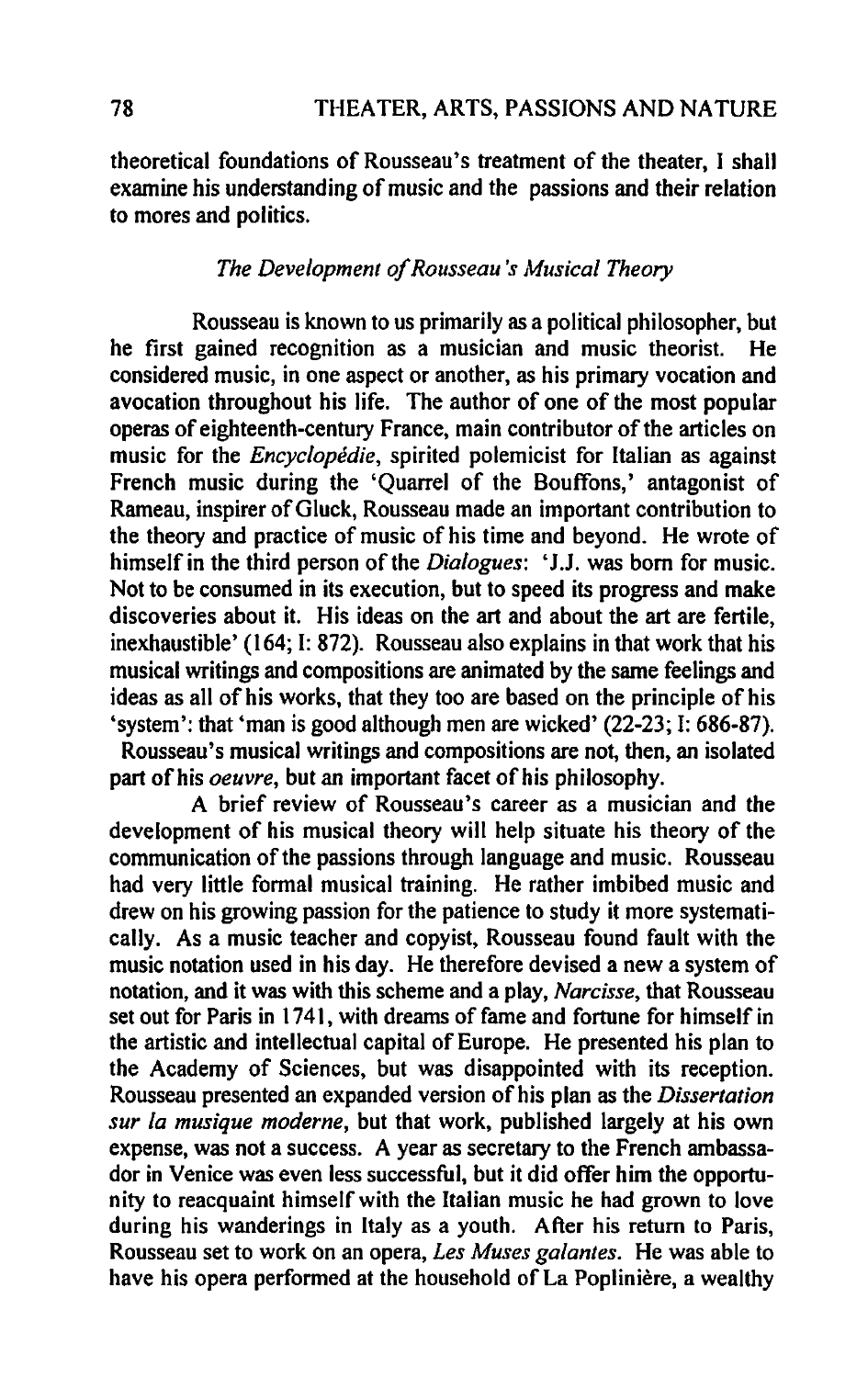theoretical foundations of Rousseau's treatment of the theater, I shall examine his understanding of music and the passions and their relation to mores and politics.

#### *The Development of Rousseau's Musical Theory*

Rousseau is known to us primarily as a political philosopher, but he first gained recognition as a musician and music theorist. He considered music, in one aspect or another, as his primary vocation and avocation throughout his life. The author of one of the most popular operas of eighteenth-century France, main contributor of the articles on music for the *Encyclopedie,* spirited polemicist for Italian as against French music during the 'Quarrel of the Bouffons,' antagonist of Rameau, inspirer of Gluck, Rousseau made an important contribution to the theory and practice of music of his time and beyond. He wrote of himself in the third person of the *Dialogues:* 'J.J. was born for music. Not to be consumed in its execution, but to speed its progress and make discoveries about it. His ideas on the art and about the art are fertile, inexhaustible' (164; I: 872). Rousseau also explains in that work that his musical writings and compositions are animated by the same feelings and ideas as all of his works, that they too are based on the principle of his 'system': that 'man is good although men are wicked' (22-23; I: 686-87). Rousseau's musical writings and compositions are not, then, an isolated part of his *oeuvre,* but an important facet of his philosophy.

A brief review of Rousseau's career as a musician and the development of his musical theory will help situate his theory of the communication of the passions through language and music. Rousseau had very little formal musical training. He rather imbibed music and drew on his growing passion for the patience to study it more systematically. As a music teacher and copyist, Rousseau found fault with the music notation used in his day. He therefore devised a new a system of notation, and it was with this scheme and a play, *Narcisse,* that Rousseau set out for Paris in 1741, with dreams of fame and fortune for himself in the artistic and intellectual capital of Europe. He presented his plan to the Academy of Sciences, but was disappointed with its reception. Rousseau presented an expanded version of his plan as the *Dissertation sur fa musique moderne,* but that work, published largely at his own expense, was not a success. A year as secretary to the French ambassador in Venice was even less successful, but it did offer him the opportunity to reacquaint himself with the Italian music he had grown to love during his wanderings in Italy as a youth. After his return to Paris, Rousseau set to work on an opera, *Les Muses gafantes.* He was able to have his opera performed at the household of La Poplinière, a wealthy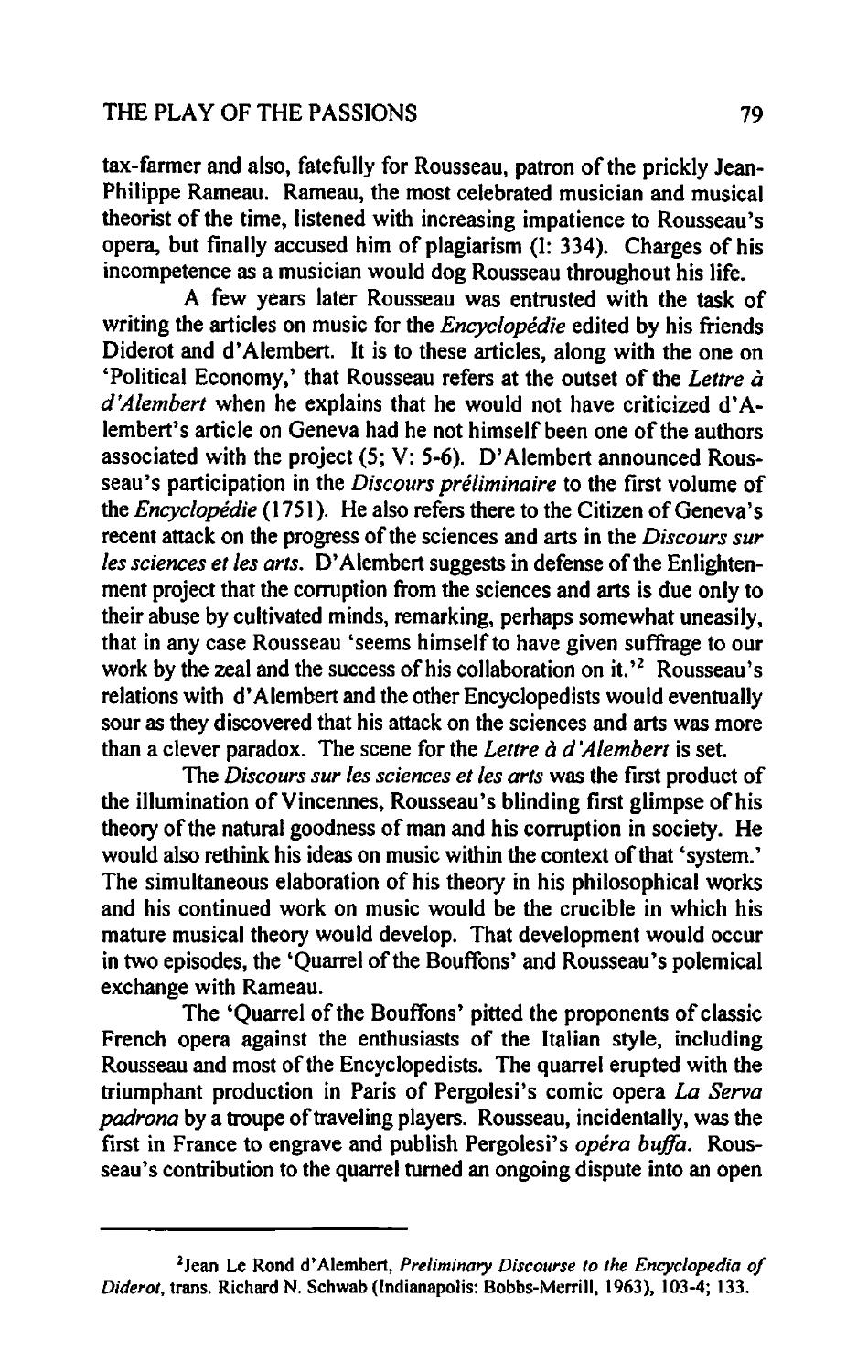tax-farmer and also, fatefully for Rousseau, patron of the prickly Jean-Philippe Rameau. Rameau, the most celebrated musician and musical theorist of the time, listened with increasing impatience to Rousseau's opera, but finally accused him of plagiarism (1: 334). Charges of his incompetence as a musician would dog Rousseau throughout his life.

A few years later Rousseau was entrusted with the task of writing the articles on music for the *Encyclopedie* edited by his friends Diderot and d' Alembert. It is to these articles, along with the one on 'Political Economy,' that Rousseau refers at the outset of the *Lettre a d'Alembert* when he explains that he would not have criticized d'Alembert's article on Geneva had he not himself been one of the authors associated with the project (5; V: 5-6). D' Alembert announced Rousseau's participation in the *Discours préliminaire* to the first volume of the *Encyclopedie* (1751). He also refers there to the Citizen of Geneva's recent attack on the progress of the sciences and arts in the *Discours sur les sciences et les arts.* D' Alembert suggests in defense of the Enlightenment project that the corruption from the sciences and arts is due only to their abuse by cultivated minds, remarking, perhaps somewhat uneasily, that in any case Rousseau 'seems himself to have given suffrage to our work by the zeal and the success of his collaboration on it.<sup> $2$ </sup> Rousseau's relations with d' Alembert and the other Encyclopedists would eventually sour as they discovered that his attack on the sciences and arts was more than a clever paradox. The scene for the *Lettre* a *d 'A/embert* is set.

The *Discours sur les sciences elies arts* was the first product of the illumination of Vincennes, Rousseau's blinding first glimpse of his theory of the natural goodness of man and his corruption in society. He would also rethink his ideas on music within the context of that 'system.' The simultaneous elaboration of his theory in his philosophical works and his continued work on music would be the crucible in which his mature musical theory would develop. That development would occur in two episodes, the 'Quarrel of the Bouffons' and Rousseau's polemical exchange with Rameau.

The 'Quarrel of the Bouffons' pitted the proponents of classic French opera against the enthusiasts of the Italian style, including Rousseau and most of the Encyclopedists. The quarrel erupted with the triumphant production in Paris of Pergolesi's comic opera *La Serva padrona* by a troupe of traveling players. Rousseau, incidentally, was the first in France to engrave and publish Pergolesi's *opera buffa.* Rousseau's contribution to the quarrel turned an ongoing dispute into an open

<sup>&</sup>lt;sup>2</sup>Jean Le Rond d'Alembert, *Preliminary Discourse to the Encyclopedia of Diderot,* trans. Richard N. Schwab (Indianapolis: Bobbs-Merrill, 1963), 103-4; 133.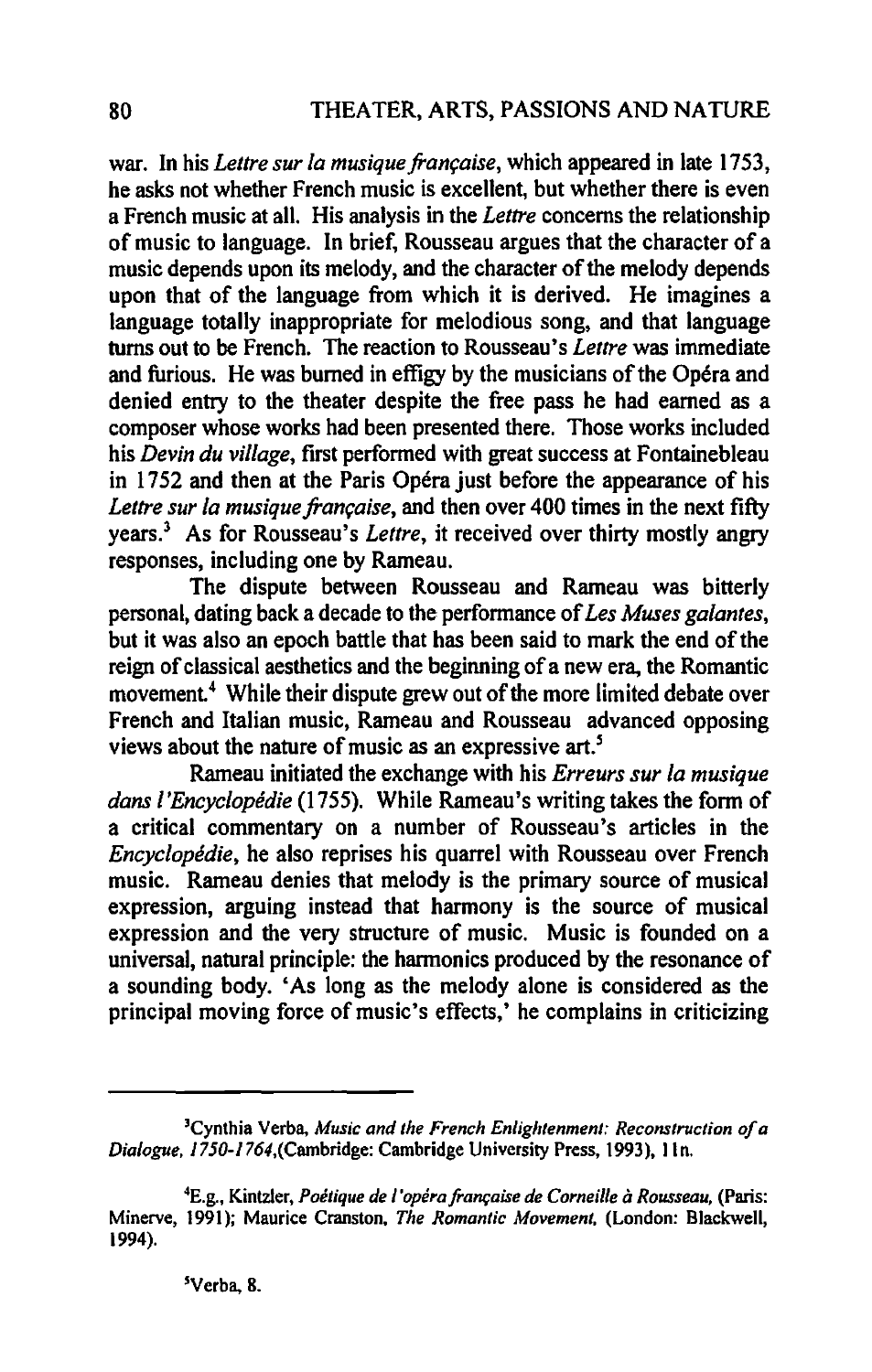war. In his *Lettre sur la musique française*, which appeared in late 1753, he asks not whether French music is excellent, but whether there is even a French music at all. His analysis in the *Lettre* concerns the relationship of music to language. In brief, Rousseau argues that the character of a music depends upon its melody, and the character of the melody depends upon that of the language from which it is derived. He imagines a language totally inappropriate for melodious song, and that language turns out to be French. The reaction to Rousseau's *Lettre* was immediate and furious. He was burned in effigy by the musicians of the Opéra and denied entry to the theater despite the free pass he had earned as a composer whose works had been presented there. Those works included his *Devin du village*, first performed with great success at Fontainebleau in 1752 and then at the Paris Opéra just before the appearance of his *Lettre sur la musique française*, and then over 400 times in the next fifty years.3 As for Rousseau's *Lettre,* it received over thirty mostly angry responses, including one by Rameau.

The dispute between Rousseau and Rameau was bitterly personal, dating back a decade to the performance of *Les Muses gafantes,*  but it was also an epoch battle that has been said to mark the end of the reign of classical aesthetics and the beginning of a new era, the Romantic movement.<sup>4</sup> While their dispute grew out of the more limited debate over French and Italian music, Rameau and Rousseau advanced opposing views about the nature of music as an expressive art.'

Rameau initiated the exchange with his *Erreurs sur /a musique dans /'Encyclopedie* (1755). While Rameau's writing takes the form of a critical commentary on a number of Rousseau's articles in the *Encyclopedie,* he also reprises his quarrel with Rousseau over French music. Rameau denies that melody is the primary source of musical expression, arguing instead that harmony is the source of musical expression and the very structure of music. Music is founded on a universal, natural principle: the harmonics produced by the resonance of a sounding body. 'As long as the melody alone is considered as the principal moving force of music's effects,' he complains in criticizing

<sup>3</sup>Cynthia Verba, *MUSic and the French Enlightenment: Reconstruction of a Dialogue,* 1750-J764,(Cambridge: Cambridge University Press, 1993), lin.

<sup>4</sup>E.g., Kintzler, *Poetique de I'operafram;aise de Corneille a Rousseau,* (Paris: Minerve, 1991); Maurice Cranston, *The Romantic Movement,* (London: Blackwell, 1994).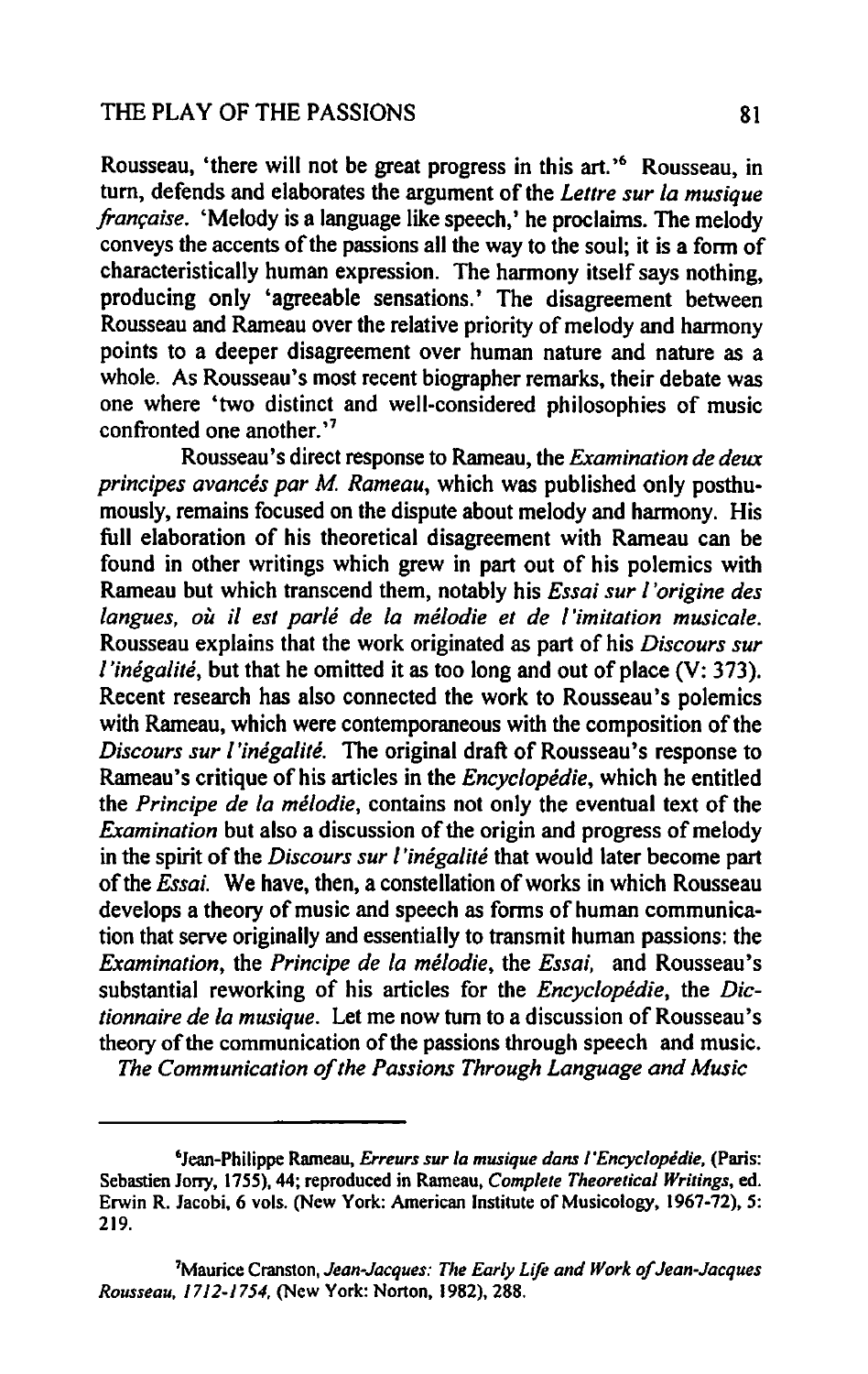Rousseau, 'there will not be great progress in this art.'<sup>6</sup> Rousseau, in tum, defends and elaborates the argument of the *Lellre sur fa musique francaise.* 'Melody is a language like speech,' he proclaims. The melody conveys the accents of the passions all the way to the soul; it is a fonn of characteristically human expression. The harmony itself says nothing, producing only 'agreeable sensations.' The disagreement between Rousseau and Rameau over the relative priority of melody and harmony points to a deeper disagreement over human nature and nature as a whole. As Rousseau's most recent biographer remarks, their debate was one where 'two distinct and well-considered philosophies of music confronted one another.<sup>17</sup>

Rousseau's direct response to Rameau, the *Examination de deux principes avances par M. Rameau, which was published only posthu*mously, remains focused on the dispute about melody and harmony. His full elaboration of his theoretical disagreement with Rameau can be found in other writings which grew in part out of his polemics with Rameau but which transcend them, notably his *Essai sur f'origine des langues, ou* if *est parle de la melodie et de 1 'imitation musicale.*  Rousseau explains that the work originated as part of his *Discours sur l'inégalité*, but that he omitted it as too long and out of place (V: 373). Recent research has also connected the work to Rousseau's polemics with Rameau, which were contemporaneous with the composition of the *Discours sur /'inegalite.* The original draft of Rousseau's response to Rameau's critique of his articles in the *Encyciopedie,* which he entitled the *Principe de /a me/odie,* contains not only the eventual text of the *Examination* but also a discussion of the origin and progress of melody in the spirit of the *Discours sur 1 'inegalite* that would later become part of the *Essai.* We have, then, a constellation of works in which Rousseau develops a theory of music and speech as forms of human communication that serve originally and essentially to transmit human passions: the *Examination,* the *Principe de la me/odie,* the *Essai,* and Rousseau's substantial reworking of his articles for the *Encyciopedie,* the *Dictionnaire de la musique.* Let me now tum to a discussion of Rousseau's theory of the communication of the passions through speech and music. *The Communication of the Passions Through Language and Music* 

6Jean-Philippe Rameau, *Erreurs sur la musique dans l'Encyclopedie,* (Paris: Sebastien Jony, 1755), 44; reproduced in Rameau, *Complete Theoretical Writings,* ed. Erwin R. Jacobi, 6 vols. (New York: American Institute of Musicology, 1967-72), 5: 219.

<sup>7</sup>Maurice Cranston, *Jean-Jacques: The Early Lifo and Work of Jean-Jacques Rousseau. 1712-1754.* (New York: Norton, 1982),288.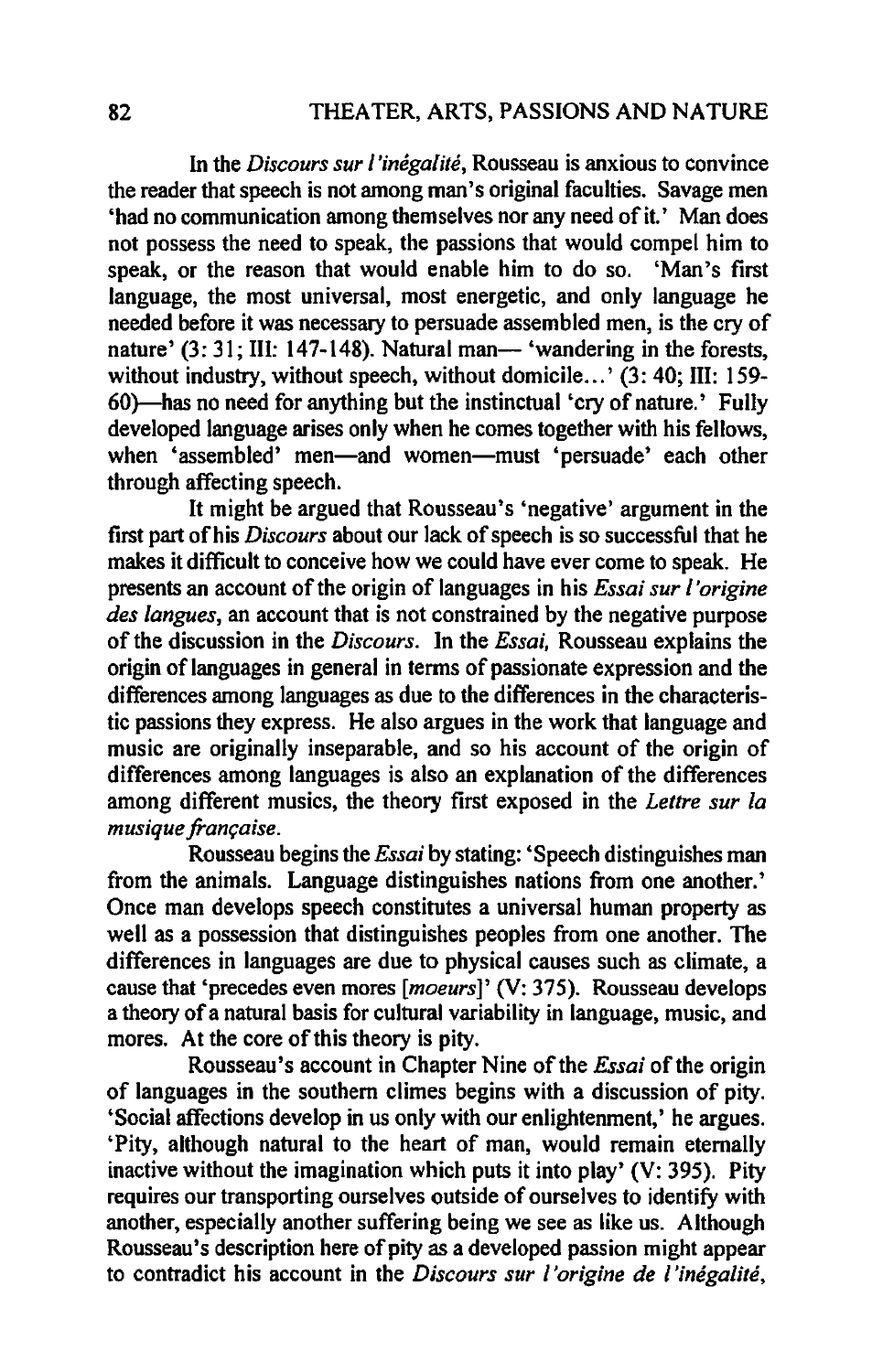In the *Discours sur I'inegalire,* Rousseau is anxious to convince the reader that speech is not among man's original faculties. Savage men 'had no communication among themselves nor any need of it.' Man does not possess the need to speak, the passions that would compel him to speak, or the reason that would enable him to do so. 'Man's first language, the most universal, most energetic, and only language he needed before it was necessary to persuade assembled men, is the cry of nature' (3: 31; III: 147-148). Natural man-'wandering in the forests, without industry, without speech, without domicile...' (3: 40; III: 159-60)-has no need for anything but the instinctual 'cry of nature.' Fully developed language arises only when he comes together with his fellows, when 'assembled' men-and women-must 'persuade' each other through affecting speech.

It might be argued that Rousseau's 'negative' argument in the first part of his *Discours* about our lack of speech is so successful that he makes it difficult to conceive how we could have ever come to speak. He presents an account of the origin of languages in his *Essai sur l'origine des langues,* an account that is not constrained by the negative purpose of the discussion in the *Discours.* In the *Essai,* Rousseau explains the origin of languages in general in terms of passionate expression and the differences among languages as due to the differences in the characteristic passions they express. He also argues in the work that language and music are originally inseparable, and so his account of the origin of differences among languages is also an explanation of the differences among different musics, the theory first exposed in the *Lettre sur la* musique *francaise*.

Rousseau begins the *Essai* by stating: 'Speech distinguishes man from the animals. Language distinguishes nations from one another.' Once man develops speech constitutes a universal human property as well as a possession that distinguishes peoples from one another. The differences in languages are due to physical causes such as climate, a cause that 'precedes even mores *[moeurs]'* (V: 375). Rousseau develops a theory of a natural basis for cultural variability in language, music, and mores. At the core of this theory is pity.

Rousseau's account in Chapter Nine of the *Essai* of the origin of languages in the southern climes begins with a discussion of pity. 'Social affections develop in us only with our enlightenment,' he argues. 'Pity, although natural to the heart of man, would remain eternally inactive without the imagination which puts it into play' (V: 395). Pity requires our transporting ourselves outside of ourselves to identify with another, especially another suffering being we see as like us. Although Rousseau's description here of pity as a developed passion might appear to contradict his account in the *Discours sur I 'origine de l'inegalite,*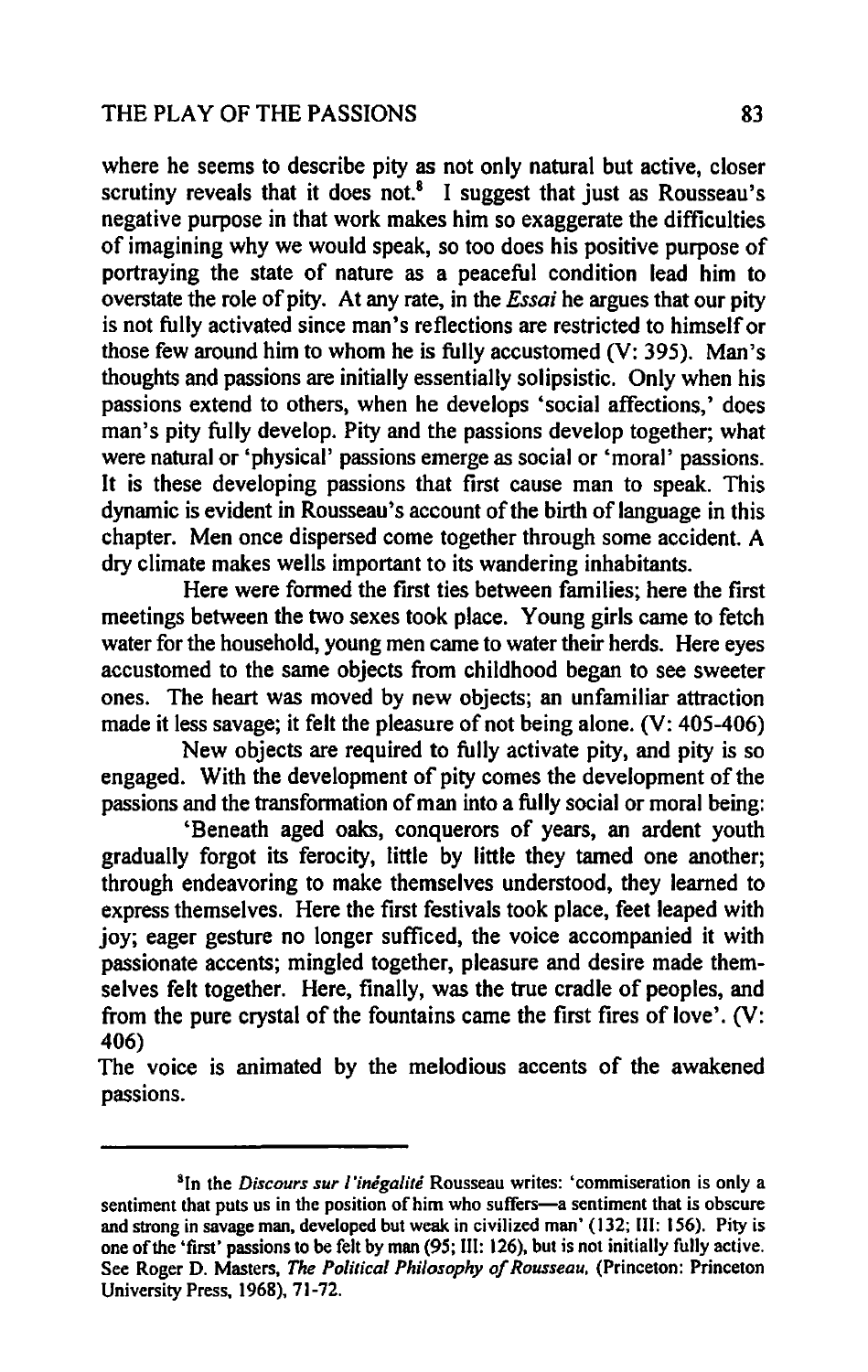#### THE PLAY OF THE PASSIONS 83

where he seems to describe pity as not only natural but active, closer scrutiny reveals that it does not. $8$  I suggest that just as Rousseau's negative purpose in that work makes him so exaggerate the difficulties of imagining why we would speak, so too does his positive purpose of portraying the state of nature as a peaceful condition lead him to overstate the role of pity. At any rate, in the *Essai* he argues that our pity is not fully activated since man's reflections are restricted to himself or those few around him to whom he is fully accustomed (V: 395). Man's thoughts and passions are initially essentially solipsistic. Only when his passions extend to others, when he develops 'social affections,' does man's pity fully develop. Pity and the passions develop together; what were natural or 'physical' passions emerge as social or 'moral' passions. It is these developing passions that first cause man to speak. This dynamic is evident in Rousseau's account of the birth of language in this chapter. Men once dispersed come together through some accident. A dry climate makes wells important to its wandering inhabitants.

Here were formed the first ties between families; here the first meetings between the two sexes took place. Young girls came to fetch water for the household, young men came to water their herds. Here eyes accustomed to the same objects from childhood began to see sweeter ones. The heart was moved by new objects; an unfamiliar attraction made it less savage; it felt the pleasure of not being alone. (V: 405-406)

New objects are required to fully activate pity, and pity is so engaged. With the development of pity comes the development of the passions and the transformation of man into a fully social or moral being:

'Beneath aged oaks, conquerors of years, an ardent youth gradually forgot its ferocity, little by little they tamed one another; through endeavoring to make themselves understood, they learned to express themselves. Here the first festivals took place, feet leaped with joy; eager gesture no longer sufficed, the voice accompanied it with passionate accents; mingled together, pleasure and desire made themselves felt together. Here, finally, was the true cradle of peoples, and from the pure crystal of the fountains came the first fires of love'. (V: 406)

The voice is animated by the melodious accents of the awakened passions.

<sup>&</sup>lt;sup>8</sup>In the *Discours sur l'inégalité* Rousseau writes: 'commiseration is only a sentiment that puts us in the position of him who suffers-a sentiment that is obscure and strong in savage man, developed but weak in civilized man' (132; III: 156). Pity is one of the 'first' passions to be felt by man (95; III: 126). but is not initially fully active. See Roger D. Masters. *The Political Philosophy of Rousseau,* (Princeton: Princeton University Press, 1968), 71-72.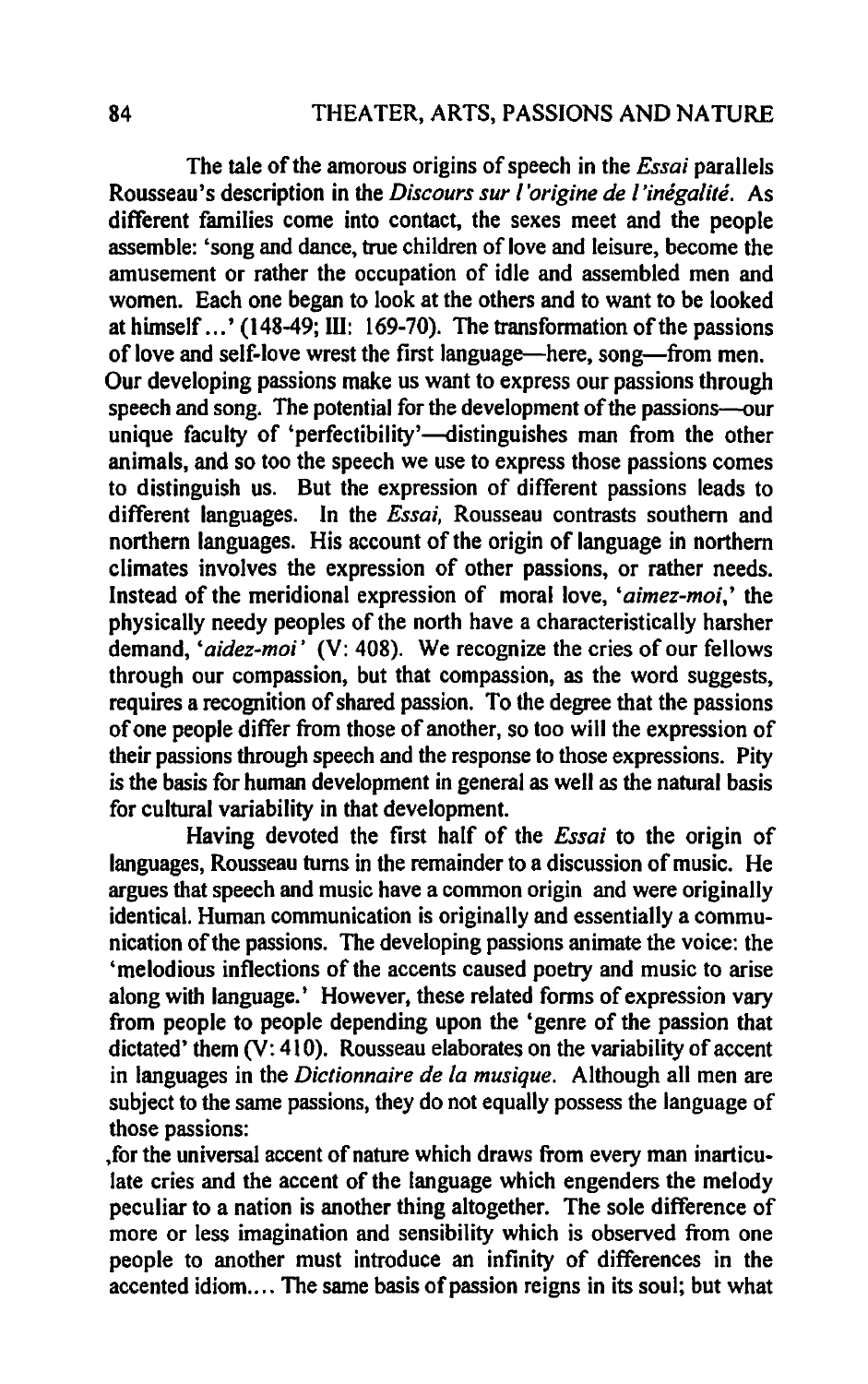The tale of the amorous origins of speech in the *Essai* parallels Rousseau's description in the *Discours sur I 'origine de l'inegalite.* As different families come into contact, the sexes meet and the people assemble: 'song and dance, true children of love and leisure, become the amusement or rather the occupation of idle and assembled men and women. Each one began to look at the others and to want to be looked at himself  $\ldots$  (148-49; III: 169-70). The transformation of the passions of love and self-love wrest the first language—here, song—from men. Our developing passions make us want to express our passions through speech and song. The potential for the development of the passions-our unique faculty of 'perfectibility'-distinguishes man from the other animals, and so too the speech we use to express those passions comes to distinguish us. But the expression of different passions leads to different languages. **In** the *Essai,* Rousseau contrasts southern and northern languages. His account of the origin of language in northern climates involves the expression of other passions, or rather needs. Instead of the meridional expression of moral love, *'aimez-moi,'* the physically needy peoples of the north have a characteristically harsher demand, *'aidez-moi'* (V: 408). We recognize the cries of our fellows through our compassion, but that compassion, as the word suggests, requires a recognition of shared passion. To the degree that the passions of one people differ from those of another, so too will the expression of their passions through speech and the response to those expressions. Pity is the basis for human development in general as well as the natural basis for cultural variability in that development.

Having devoted the first half of the *Essai* to the origin of languages, Rousseau turns in the remainder to a discussion of music. He argues that speech and music have a common origin and were originally identical. Human communication is originally and essentially a communication of the passions. The developing passions animate the voice: the 'melodious inflections of the accents caused poetry and music to arise along with language.' However, these related forms of expression vary from people to people depending upon the 'genre of the passion that dictated' them (V: 410). Rousseau elaborates on the variability of accent in languages in the *Dictionnaire de la musique.* Although all men are subject to the same passions, they do not equally possess the language of those passions:

,for the universal accent of nature which draws from every man inarticulate cries and the accent of the language which engenders the melody peculiar to a nation is another thing altogether. The sole difference of more or less imagination and sensibility which is observed from one people to another must introduce an infinity of differences in the accented idiom.... The same basis of passion reigns in its soul; but what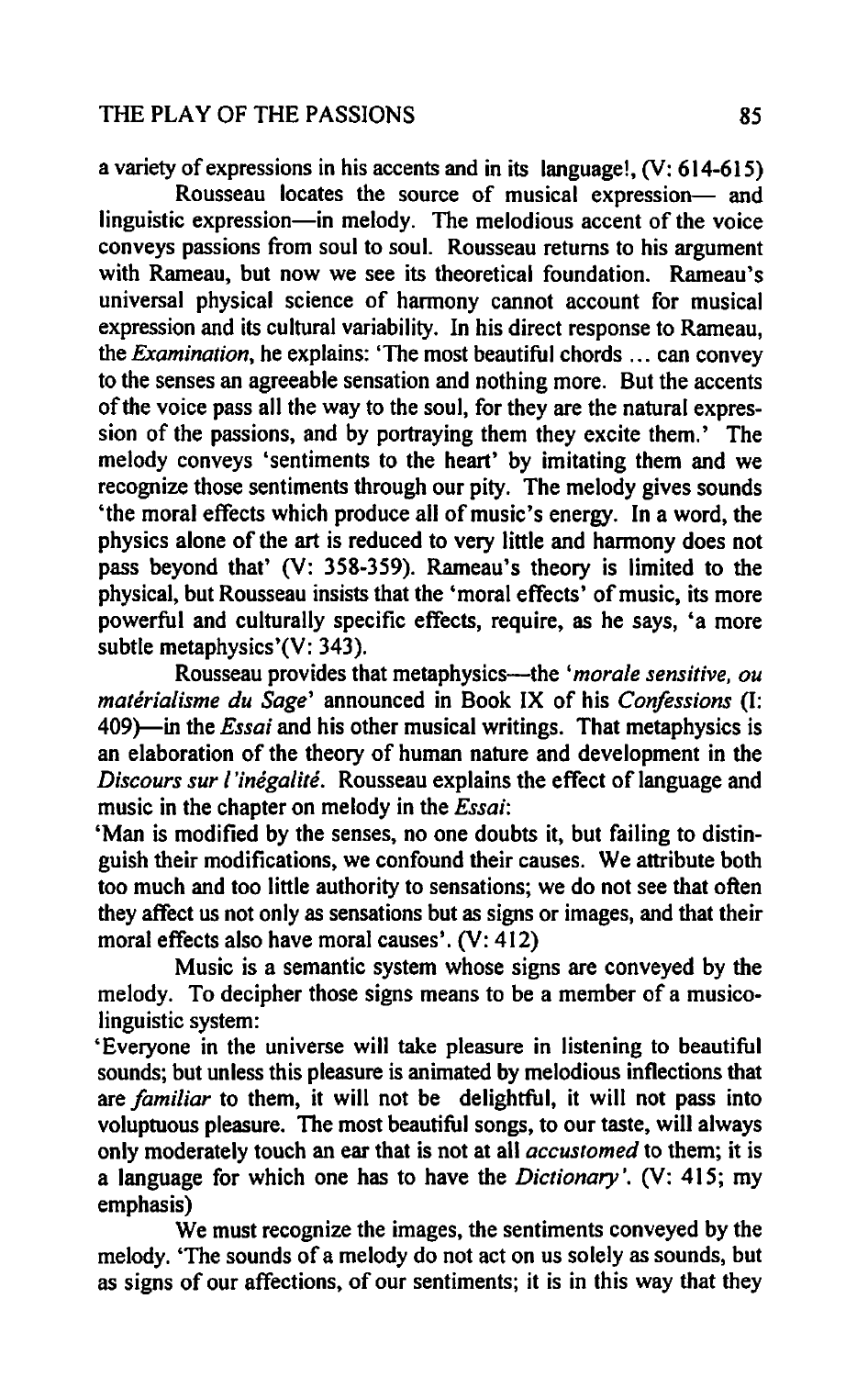#### THE PLAY OF THE PASSIONS 85

a variety of expressions in his accents and in its language!, (V: 614-615)

Rousseau locates the source of musical expression- and linguistic expression—in melody. The melodious accent of the voice conveys passions from soul to soul. Rousseau returns to his argument with Rameau, but now we see its theoretical foundation. Rameau's universal physical science of harmony cannot account for musical expression and its cultural variability. In his direct response to Rameau, the *Examination,* he explains: 'The most beautiful chords ... can convey to the senses an agreeable sensation and nothing more. But the accents of the voice pass all the way to the soul, for they are the natural expression of the passions, and by portraying them they excite them.' The melody conveys 'sentiments to the heart' by imitating them and we recognize those sentiments through our pity. The melody gives sounds 'the moral effects which produce all of music's energy. In a word, the physics alone of the art is reduced to very little and harmony does not pass beyond that' (V: 358-359). Rameau's theory is limited to the physical, but Rousseau insists that the 'moral effects' of music, its more powerful and culturally specific effects, require, as he says, 'a more subtle metaphysics'(V: 343).

Rousseau provides that metaphysics—the '*morale sensitive, ou materialisme du Sage'* announced in Book IX of his *Confessions (I:*  409}-in the *Essai* and his other musical writings. That metaphysics is an elaboration of the theory of human nature and development in the *Discours sur I'inegalite.* Rousseau explains the effect of language and music in the chapter on melody in the *Essai:* 

'Man is modified by the senses, no one doubts it, but failing to distinguish their modifications, we confound their causes. We attribute both too much and too little authority to sensations; we do not see that often they affect us not only as sensations but as signs or images, and that their moral effects also have moral causes'. (V: 412)

Music is a semantic system whose signs are conveyed by the melody. To decipher those signs means to be a member of a musicolinguistic system:

'Everyone in the universe will take pleasure in listening to beautiful sounds; but unless this pleasure is animated by melodious inflections that are *familiar* to them, it will not be delightful, it will not pass into voluptuous pleasure. The most beautiful songs, to our taste, will always only moderately touch an ear that is not at all *accustomed* to them; it is a language for which one has to have the *Dictionary* '. (V: 415; my emphasis)

We must recognize the images, the sentiments conveyed by the melody. 'The sounds of a melody do not act on us solely as sounds, but as signs of our affections, of our sentiments; it is in this way that they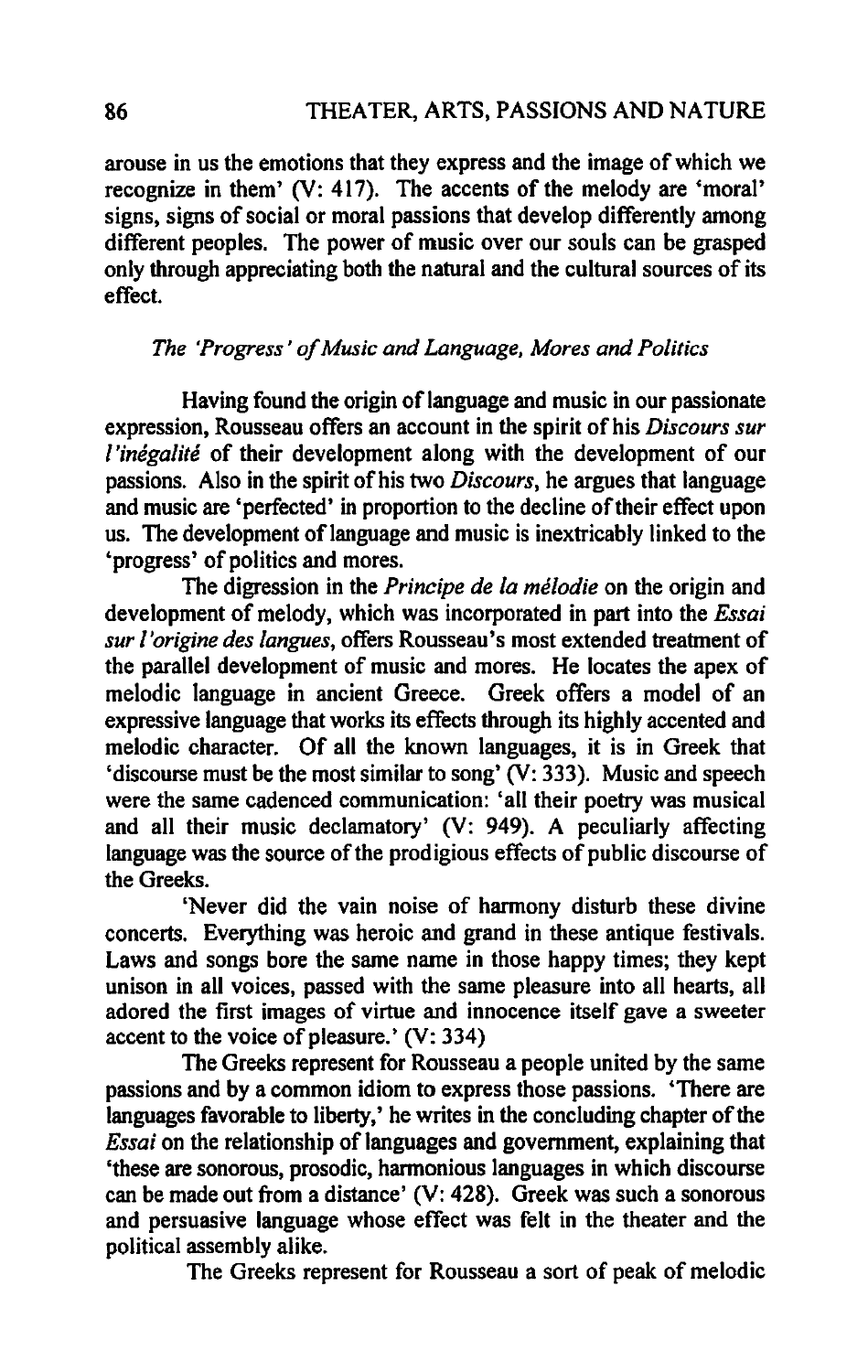arouse in us the emotions that they express and the image of which we recognize in them' (V: 417). The accents of the melody are 'moral' signs, signs of social or moral passions that develop differently among different peoples. The power of music over our souls can be grasped only through appreciating both the natural and the cultural sources of its effect.

#### *The 'Progress' of Music and Language, Mores and Politics*

Having found the origin of language and music in our passionate expression, Rousseau offers an account in the spirit of his *Discours sur l'inegalite* of their development along with the development of our passions. Also in the spirit of his two *Discours,* he argues that language and music are 'perfected' in proportion to the decline of their effect upon us. The development of language and music is inextricably linked to the 'progress' of politics and mores.

The digression in the *Principe de /a me/odie* on the origin and development of melody, which was incorporated in part into the *Essai sur /'origine des /angues,* offers Rousseau's most extended treatment of the parallel development of music and mores. He locates the apex of melodic language in ancient Greece. Greek offers a model of an expressive language that works its effects through its highly accented and melodic character. Of all the known languages, it is in Greek that 'discourse must be the most similar to song'  $(V: 333)$ . Music and speech were the same cadenced communication: 'all their poetry was musical and all their music declamatory' (V: 949). A peculiarly affecting language was the source of the prodigious effects of public discourse of the Greeks.

'Never did the vain noise of harmony disturb these divine concerts. Everything was heroic and grand in these antique festivals. Laws and songs bore the same name in those happy times; they kept unison in all voices, passed with the same pleasure into all hearts, all adored the first images of virtue and innocence itself gave a sweeter accent to the voice of pleasure.' (V: 334)

The Greeks represent for Rousseau a people united by the same passions and by a common idiom to express those passions. 'There are languages favorable to liberty,' he writes in the concluding chapter of the *Essai* on the relationship of languages and government, explaining that 'these are sonorous, prosodic, harmonious languages in which discourse can be made out from a distance' (V: 428). Greek was such a sonorous and persuasive language whose effect was felt in the theater and the political assembly alike.

The Greeks represent for Rousseau a sort of peak of melodic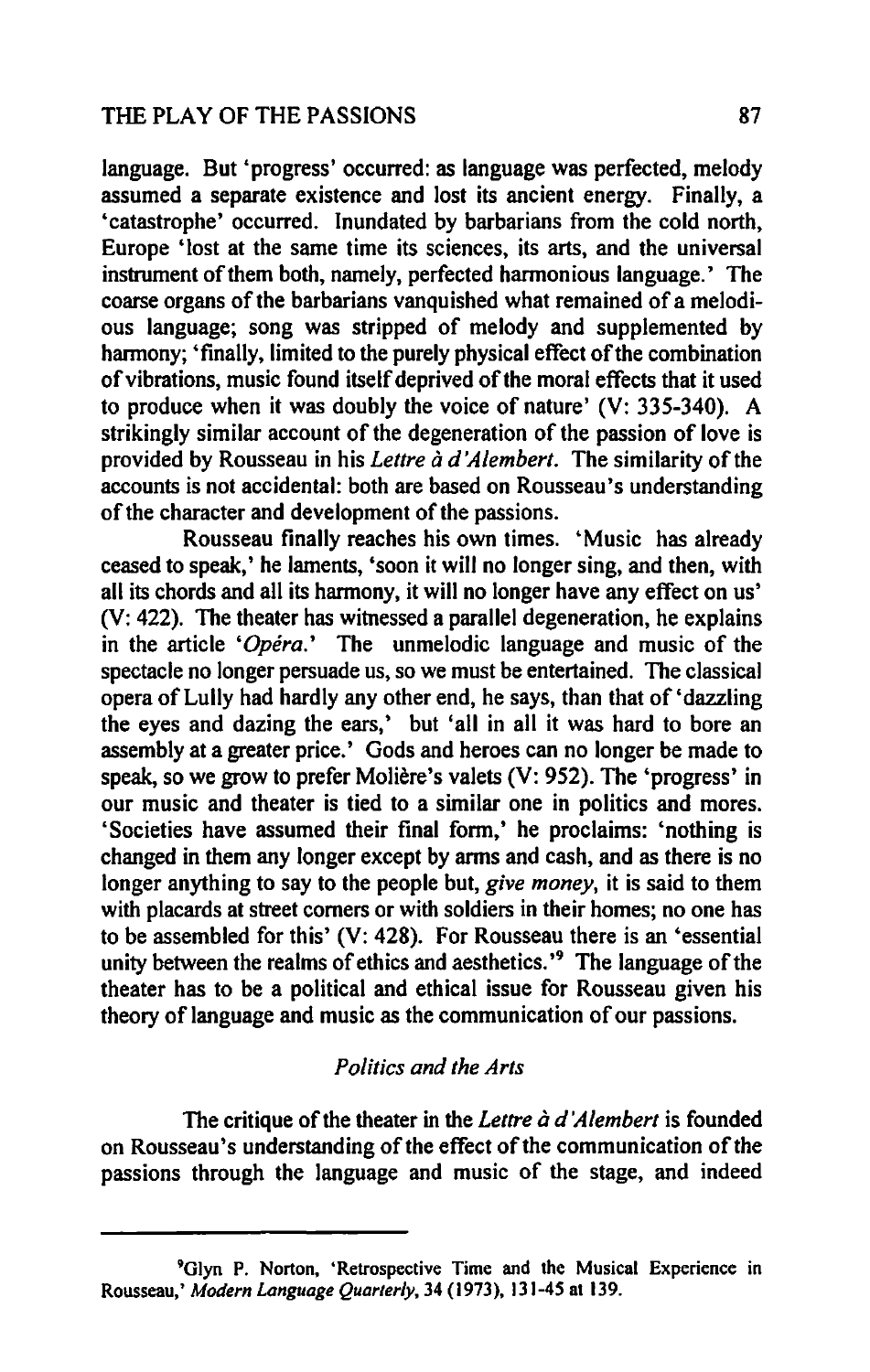language. But 'progress' occurred: as language was perfected, melody assumed a separate existence and lost its ancient energy. Finally, a 'catastrophe' occurred. Inundated by barbarians from the cold north, Europe 'lost at the same time its sciences, its arts, and the universal instrument of them both, namely, perfected harmonious language.' The coarse organs of the barbarians vanquished what remained of a melodious language; song was stripped of melody and supplemented by harmony; 'finally, limited to the purely physical effect of the combination of vibrations, music found itself deprived of the moral effects that it used to produce when it was doubly the voice of nature' (V: 335-340). A strikingly similar account of the degeneration of the passion of love is provided by Rousseau in his *Lettre*  $\tilde{a}$  *d'Alembert*. The similarity of the accounts is not accidental: both are based on Rousseau's understanding of the character and development of the passions.

Rousseau finally reaches his own times. 'Music has already ceased to speak,' he laments, 'soon it will no longer sing, and then, with all its chords and all its harmony, it will no longer have any effect on us' (V: 422). The theater has witnessed a parallel degeneration, he explains in the article *'Opera.'* The unmelodic language and music of the spectacle no longer persuade us, so we must be entertained. The classical opera of Lully had hardly any other end, he says, than that of 'dazzling the eyes and dazing the ears,' but' all in all it was hard to bore an assembly at a greater price.' Gods and heroes can no longer be made to speak, so we grow to prefer Moliere's valets (V: 952). The 'progress' in our music and theater is tied to a similar one in politics and mores. 'Societies have assumed their final form,' he proclaims: 'nothing is changed in them any longer except by arms and cash, and as there is no longer anything to say to the people but, *give money,* it is said to them with placards at street comers or with soldiers in their homes; no one has to be assembled for this' (V: 428). For Rousseau there is an 'essential unity between the realms of ethics and aesthetics.<sup>19</sup> The language of the theater has to be a political and ethical issue for Rousseau given his theory of language and music as the communication of our passions.

#### *Politics and the Arts*

The critique of the theater in the *Lettre à d'Alembert* is founded on Rousseau's understanding of the effect of the communication of the passions through the language and music of the stage, and indeed

<sup>&</sup>lt;sup>9</sup>Glyn P. Norton, 'Retrospective Time and the Musical Experience in Rousseau,' *Modern Language Quarter/y,* 34 (1973), 131-45 at 139.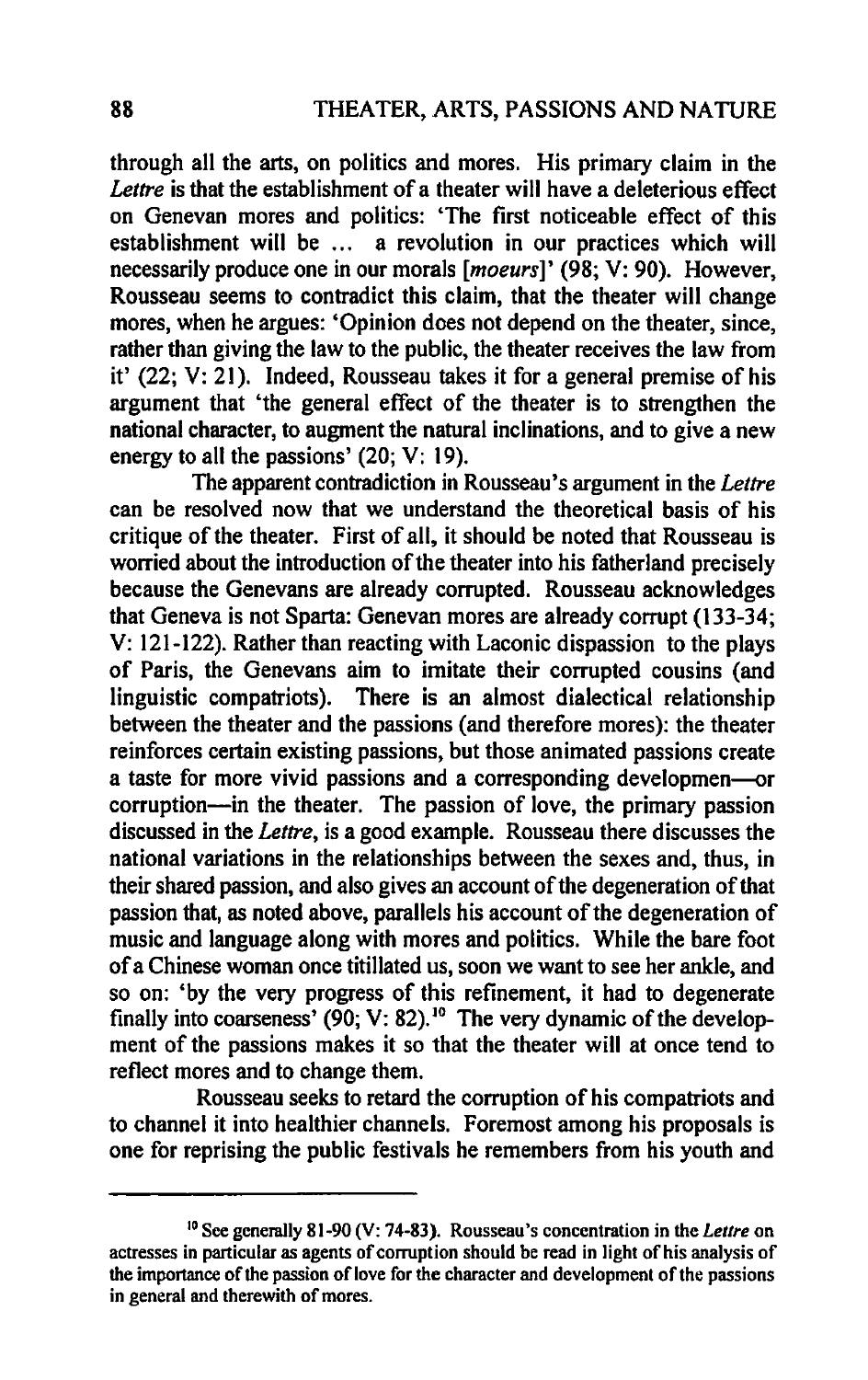through all the arts, on politics and mores. His primary claim in the *Lettre* is that the establishment of a theater will have a deleterious effect on Genevan mores and politics: 'The first noticeable effect of this establishment will be ... a revolution in our practices which will necessarily produce one in our morals *[moeurs]'* (98; V: 90). However, Rousseau seems to contradict this claim, that the theater will change mores, when he argues: 'Opinion does not depend on the theater, since, rather than giving the law to the public, the theater receives the law from it' (22; V: 21). Indeed, Rousseau takes it for a general premise of his argument that 'the general effect of the theater is to strengthen the national character, to augment the natural inclinations, and to give a new energy to all the passions' (20; V: 19).

The apparent contradiction in Rousseau's argument in the *Lettre*  can be resolved now that we understand the theoretical basis of his critique of the theater. First of all, it should be noted that Rousseau is worried about the introduction of the theater into his fatherland precisely because the Genevans are already corrupted. Rousseau acknowledges that Geneva is not Sparta: Genevan mores are already corrupt (133-34; V: 121-122). Rather than reacting with Laconic dispassion to the plays of Paris, the Genevans aim to imitate their corrupted cousins (and linguistic compatriots). There is an almost dialectical relationship between the theater and the passions (and therefore mores): the theater reinforces certain existing passions, but those animated passions create a taste for more vivid passions and a corresponding developmen—or corruption-in the theater. The passion of love, the primary passion discussed in the *Lettre,* is a good example. Rousseau there discusses the national variations in the relationships between the sexes and, thus, in their shared passion, and also gives an account of the degeneration of that passion that, as noted above, parallels his account of the degeneration of music and language along with mores and politics. While the bare foot of a Chinese woman once titillated us, soon we want to see her ankle, and so on: 'by the very progress of this refinement, it had to degenerate finally into coarseness' (90; V: 82).<sup>10</sup> The very dynamic of the development of the passions makes it so that the theater will at once tend to reflect mores and to change them.

Rousseau seeks to retard the corruption of his compatriots and to channel it into healthier channels. Foremost among his proposals is one for reprising the public festivals he remembers from his youth and

<sup>10</sup> See generally 81-90 (V: 74-83). Rousseau's concentration in the *Letlre* on actresses in particular as agents of corruption should be read in light of his analysis of the importance of the passion of love for the character and development of the passions in general and therewith of mores.